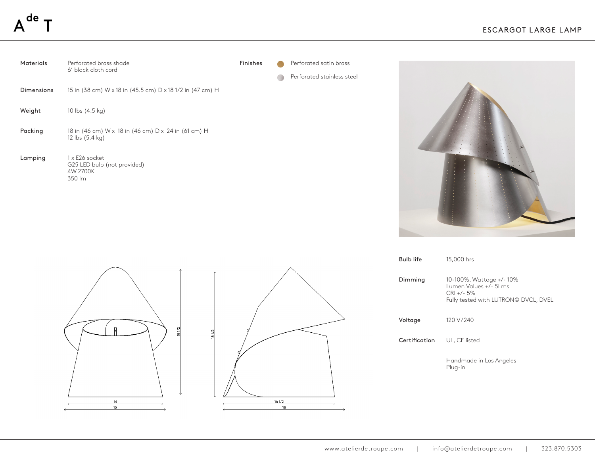







| <b>Bulb life</b> | 15,000 hrs                                                                                              |
|------------------|---------------------------------------------------------------------------------------------------------|
| Dimming          | 10-100%. Wattage +/-10%<br>Lumen Values +/- 5Lms<br>$CRI + 5\%$<br>Fully tested with LUTRON© DVCL, DVEL |
| Voltage          | 120 V/240                                                                                               |
| Certification    | UL, CE listed                                                                                           |
|                  | Handmade in Los Angeles<br>Plug-in                                                                      |